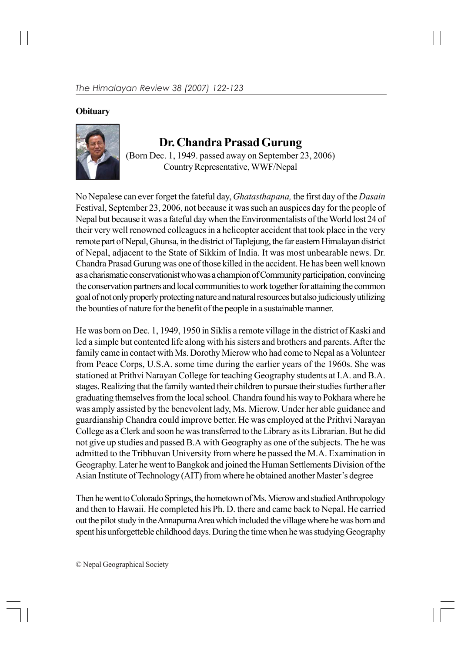## **Obituary**



## **Dr. Chandra Prasad Gurung**

(Born Dec. 1, 1949. passed away on September 23, 2006) Country Representative, WWF/Nepal

No Nepalese can ever forget the fateful day, *Ghatasthapana,* the first day of the *Dasain* Festival, September 23, 2006, not because it was such an auspices day for the people of Nepal but because it was a fateful day when the Environmentalists of the World lost 24 of their very well renowned colleagues in a helicopter accident that took place in the very remote part of Nepal, Ghunsa, in the district of Taplejung, the far eastern Himalayan district of Nepal, adjacent to the State of Sikkim of India. It was most unbearable news. Dr. Chandra Prasad Gurung was one of those killed in the accident. He has been well known as a charismatic conservationist who was a champion of Community participation, convincing the conservation partners and local communities to work together for attaining the common goal of not only properly protecting nature and natural resources but also judiciously utilizing the bounties of nature for the benefit of the people in a sustainable manner.

He was born on Dec. 1, 1949, 1950 in Siklis a remote village in the district of Kaski and led a simple but contented life along with his sisters and brothers and parents. After the family came in contact with Ms. Dorothy Mierow who had come to Nepal as a Volunteer from Peace Corps, U.S.A. some time during the earlier years of the 1960s. She was stationed at Prithvi Narayan College for teaching Geography students at I.A. and B.A. stages. Realizing that the family wanted their children to pursue their studies further after graduating themselves from the local school. Chandra found his way to Pokhara where he was amply assisted by the benevolent lady, Ms. Mierow. Under her able guidance and guardianship Chandra could improve better. He was employed at the Prithvi Narayan College as a Clerk and soon he was transferred to the Library as its Librarian. But he did not give up studies and passed B.A with Geography as one of the subjects. The he was admitted to the Tribhuvan University from where he passed the M.A. Examination in Geography. Later he went to Bangkok and joined the Human Settlements Division of the Asian Institute of Technology (AIT) from where he obtained another Master's degree

Then he went to Colorado Springs, the hometown of Ms. Mierow and studied Anthropology and then to Hawaii. He completed his Ph. D. there and came back to Nepal. He carried out the pilot study in the Annapurna Area which included the village where he was born and spent his unforgetteble childhood days. During the time when he was studying Geography